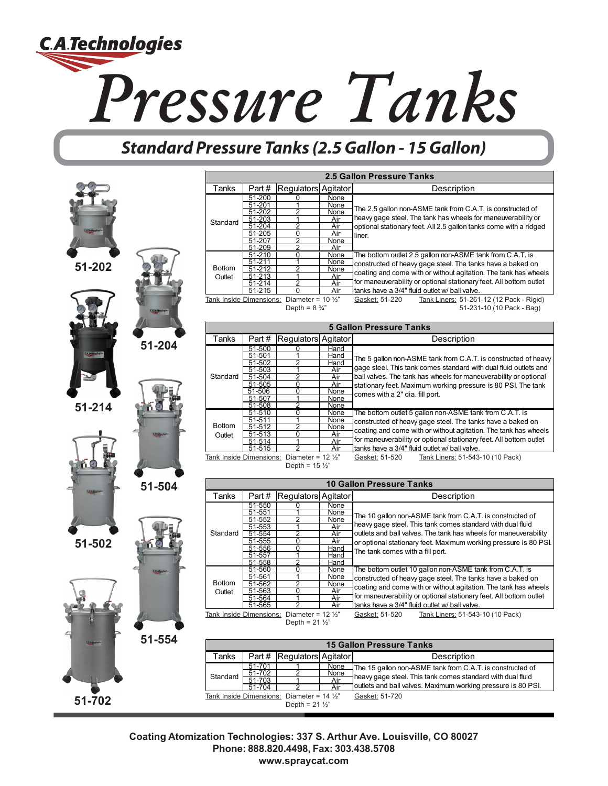

## **Standard Pressure Tanks (2.5 Gallon - 15 Gallon)**



|                         |                         |                                                    |                    | 2.5 Gallon Pressure Tanks                                                                                                                                                                                                                                                                                                                                                                                                                                             |
|-------------------------|-------------------------|----------------------------------------------------|--------------------|-----------------------------------------------------------------------------------------------------------------------------------------------------------------------------------------------------------------------------------------------------------------------------------------------------------------------------------------------------------------------------------------------------------------------------------------------------------------------|
| Tanks                   | Part#                   | Regulators                                         | Agitator           | Description                                                                                                                                                                                                                                                                                                                                                                                                                                                           |
| Standard                | 51-200                  | 0                                                  | None               |                                                                                                                                                                                                                                                                                                                                                                                                                                                                       |
|                         | 51-201                  |                                                    | <u>None</u>        | The 2.5 gallon non-ASME tank from C.A.T. is constructed of                                                                                                                                                                                                                                                                                                                                                                                                            |
|                         | 51-202                  | 2                                                  | None               |                                                                                                                                                                                                                                                                                                                                                                                                                                                                       |
|                         | 51-203                  | 1                                                  | Air                | heavy gage steel. The tank has wheels for maneuverability or                                                                                                                                                                                                                                                                                                                                                                                                          |
|                         | 51-204                  | 2                                                  | Air                | optional stationary feet. All 2.5 gallon tanks come with a ridged                                                                                                                                                                                                                                                                                                                                                                                                     |
|                         | $51 - 205$<br>51-207    | 0<br>2                                             | Air                | liner.                                                                                                                                                                                                                                                                                                                                                                                                                                                                |
|                         | $\overline{5}$ 1-209    | 2                                                  | None               |                                                                                                                                                                                                                                                                                                                                                                                                                                                                       |
|                         | $51 - 210$              | $\overline{0}$                                     | <u>Air</u><br>None | The bottom outlet 2.5 gallon non-ASME tank from C.A.T. is                                                                                                                                                                                                                                                                                                                                                                                                             |
| <b>Bottom</b><br>Outlet | 51-211                  | 1                                                  | None               |                                                                                                                                                                                                                                                                                                                                                                                                                                                                       |
|                         | $51 - 212$              | 2                                                  | <b>None</b>        | constructed of heavy gage steel. The tanks have a baked on                                                                                                                                                                                                                                                                                                                                                                                                            |
|                         |                         | 1                                                  | <u>Air</u>         | coating and come with or without agitation. The tank has wheels                                                                                                                                                                                                                                                                                                                                                                                                       |
|                         | 51-213<br>51-214        | 2                                                  | Air                | for maneuverability or optional stationary feet. All bottom outlet                                                                                                                                                                                                                                                                                                                                                                                                    |
|                         | 51-215                  | 0                                                  | <u>Air</u>         | tanks have a 3/4" fluid outlet w/ ball valve.                                                                                                                                                                                                                                                                                                                                                                                                                         |
| Tank Inside Dimensions: |                         | Diameter = $10\frac{1}{2}$                         |                    | Gasket: 51-220<br>Tank Liners: 51-261-12 (12 Pack - Rigid)                                                                                                                                                                                                                                                                                                                                                                                                            |
|                         |                         | Depth = $8\frac{3}{4}$ "                           |                    | 51-231-10 (10 Pack - Bag)                                                                                                                                                                                                                                                                                                                                                                                                                                             |
|                         |                         |                                                    |                    |                                                                                                                                                                                                                                                                                                                                                                                                                                                                       |
|                         |                         |                                                    |                    | <b>5 Gallon Pressure Tanks</b>                                                                                                                                                                                                                                                                                                                                                                                                                                        |
| Tanks                   | Part#                   |                                                    |                    |                                                                                                                                                                                                                                                                                                                                                                                                                                                                       |
|                         |                         | Regulators                                         | Agitator           | Description                                                                                                                                                                                                                                                                                                                                                                                                                                                           |
|                         | 51-500                  | 0                                                  | Hand               |                                                                                                                                                                                                                                                                                                                                                                                                                                                                       |
|                         | 51-501                  | っ                                                  | Hand               | The 5 gallon non-ASME tank from C.A.T. is constructed of heavy                                                                                                                                                                                                                                                                                                                                                                                                        |
|                         | 51-502                  | 1                                                  | Hand               | gage steel. This tank comes standard with dual fluid outlets and                                                                                                                                                                                                                                                                                                                                                                                                      |
| Standard                | 51-503<br>51-504        | 2                                                  | Air<br>Air         | ball valves. The tank has wheels for maneuverability or optional                                                                                                                                                                                                                                                                                                                                                                                                      |
|                         | 51-505                  | 0                                                  | Air                |                                                                                                                                                                                                                                                                                                                                                                                                                                                                       |
|                         | $51 - 506$              | 0                                                  | <u>None</u>        | stationary feet. Maximum working pressure is 80 PSI. The tank                                                                                                                                                                                                                                                                                                                                                                                                         |
|                         | 51-507                  | 1                                                  | None               | comes with a 2" dia. fill port.                                                                                                                                                                                                                                                                                                                                                                                                                                       |
|                         | 51-508                  | 2                                                  | None               |                                                                                                                                                                                                                                                                                                                                                                                                                                                                       |
|                         | 51-510                  | 0                                                  | None               | The bottom outlet 5 gallon non-ASME tank from C.A.T. is                                                                                                                                                                                                                                                                                                                                                                                                               |
|                         | <u>51-511</u>           | 1                                                  | <u>None</u>        | constructed of heavy gage steel. The tanks have a baked on                                                                                                                                                                                                                                                                                                                                                                                                            |
| <b>Bottom</b>           | 51-512                  | 2                                                  | None               |                                                                                                                                                                                                                                                                                                                                                                                                                                                                       |
| Outlet                  | <u>51-513</u>           | 0                                                  | Air                | coating and come with or without agitation. The tank has wheels                                                                                                                                                                                                                                                                                                                                                                                                       |
|                         | <u>51-514</u>           | 1                                                  | Air                | for maneuverability or optional stationary feet. All bottom outlet                                                                                                                                                                                                                                                                                                                                                                                                    |
|                         | 51-515                  |                                                    | Air                | tanks have a 3/4" fluid outlet w/ ball valve.                                                                                                                                                                                                                                                                                                                                                                                                                         |
| Tank Inside Dimensions: |                         | Diameter = $12 \frac{1}{2}$                        |                    | Tank Liners: 51-543-10 (10 Pack)<br>Gasket: 51-520                                                                                                                                                                                                                                                                                                                                                                                                                    |
|                         |                         |                                                    |                    |                                                                                                                                                                                                                                                                                                                                                                                                                                                                       |
|                         |                         | Depth = $15\frac{1}{2}$                            |                    |                                                                                                                                                                                                                                                                                                                                                                                                                                                                       |
|                         |                         |                                                    |                    |                                                                                                                                                                                                                                                                                                                                                                                                                                                                       |
|                         |                         |                                                    |                    | <b>10 Gallon Pressure Tanks</b>                                                                                                                                                                                                                                                                                                                                                                                                                                       |
| Tanks                   | Part#                   | Regulators Agitator                                |                    | Description                                                                                                                                                                                                                                                                                                                                                                                                                                                           |
|                         | 51-550                  |                                                    | None               |                                                                                                                                                                                                                                                                                                                                                                                                                                                                       |
|                         | $51 - 551$              |                                                    | None               |                                                                                                                                                                                                                                                                                                                                                                                                                                                                       |
|                         | 51-552                  | 2                                                  | None               |                                                                                                                                                                                                                                                                                                                                                                                                                                                                       |
|                         | 51-553                  |                                                    | Air                | heavy gage steel. This tank comes standard with dual fluid                                                                                                                                                                                                                                                                                                                                                                                                            |
| Standard                | 51-554                  | 2                                                  | <u>Air</u>         |                                                                                                                                                                                                                                                                                                                                                                                                                                                                       |
|                         | 51-555                  | 0                                                  | Air                |                                                                                                                                                                                                                                                                                                                                                                                                                                                                       |
|                         | 51-556                  | 0                                                  | Hand               | The tank comes with a fill port.                                                                                                                                                                                                                                                                                                                                                                                                                                      |
|                         | 51-557                  | 1                                                  | Hand               |                                                                                                                                                                                                                                                                                                                                                                                                                                                                       |
|                         | 51-558                  | 2                                                  | Hand               |                                                                                                                                                                                                                                                                                                                                                                                                                                                                       |
|                         | 51-560                  | 0                                                  | None               | The bottom outlet 10 gallon non-ASME tank from C.A.T. is                                                                                                                                                                                                                                                                                                                                                                                                              |
| <b>Bottom</b>           | 51-561                  | 1<br>っ                                             | None               |                                                                                                                                                                                                                                                                                                                                                                                                                                                                       |
|                         | 51-562                  | $\Omega$                                           | <u>None</u>        |                                                                                                                                                                                                                                                                                                                                                                                                                                                                       |
| Outlet                  | 51-563                  |                                                    | Air                |                                                                                                                                                                                                                                                                                                                                                                                                                                                                       |
|                         | <u>51-564</u><br>51-565 | 2                                                  | <u>Air</u><br>Air  | tanks have a 3/4" fluid outlet w/ ball valve.                                                                                                                                                                                                                                                                                                                                                                                                                         |
|                         |                         |                                                    |                    |                                                                                                                                                                                                                                                                                                                                                                                                                                                                       |
|                         |                         | Tank Inside Dimensions: Diameter = $12\frac{1}{2}$ |                    | Gasket: 51-520<br>Tank Liners: 51-543-10 (10 Pack)                                                                                                                                                                                                                                                                                                                                                                                                                    |
|                         |                         | Depth = $21\frac{1}{2}$                            |                    |                                                                                                                                                                                                                                                                                                                                                                                                                                                                       |
|                         |                         |                                                    |                    |                                                                                                                                                                                                                                                                                                                                                                                                                                                                       |
|                         |                         |                                                    |                    | <b>15 Gallon Pressure Tanks</b>                                                                                                                                                                                                                                                                                                                                                                                                                                       |
| Tanks                   | Part#                   | Regulators Agitator                                |                    | Description                                                                                                                                                                                                                                                                                                                                                                                                                                                           |
|                         | 51-701<br>51-702        | っ                                                  | None<br>None       | The 10 gallon non-ASME tank from C.A.T. is constructed of<br>outlets and ball valves. The tank has wheels for maneuverability<br>or optional stationary feet. Maximum working pressure is 80 PSI.<br>constructed of heavy gage steel. The tanks have a baked on<br>coating and come with or without agitation. The tank has wheels<br>for maneuverability or optional stationary feet. All bottom outlet<br>The 15 gallon non-ASME tank from C.A.T. is constructed of |

Tank Inside Dimensions: Diameter = 14 ½" Depth =  $21 \frac{1}{2}$ " Gasket: 51-720

heavy gage steel. This tank comes standard with dual fluid outlets and ball valves. Maximum working pressure is 80 PSI.

**Coating Atomization Technologies: 337 S. Arthur Ave. Louisville, CO 80027 Phone: 888.820.4498, Fax: 303.438.5708 www.spraycat.com**

51-703 1 Air 51-704 2 Air

Standard